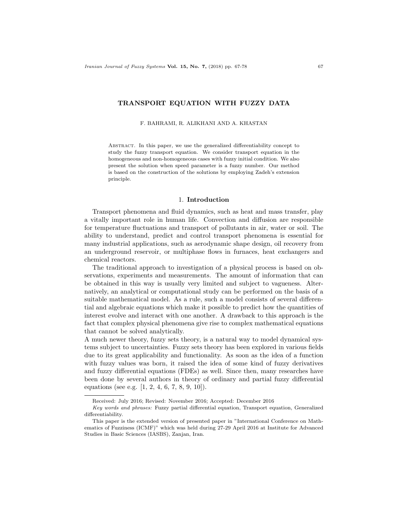## TRANSPORT EQUATION WITH FUZZY DATA

F. BAHRAMI, R. ALIKHANI AND A. KHASTAN

Abstract. In this paper, we use the generalized differentiability concept to study the fuzzy transport equation. We consider transport equation in the homogeneous and non-homogeneous cases with fuzzy initial condition. We also present the solution when speed parameter is a fuzzy number. Our method is based on the construction of the solutions by employing Zadeh's extension principle.

#### 1. Introduction

Transport phenomena and fluid dynamics, such as heat and mass transfer, play a vitally important role in human life. Convection and diffusion are responsible for temperature fluctuations and transport of pollutants in air, water or soil. The ability to understand, predict and control transport phenomena is essential for many industrial applications, such as aerodynamic shape design, oil recovery from an underground reservoir, or multiphase flows in furnaces, heat exchangers and chemical reactors.

The traditional approach to investigation of a physical process is based on observations, experiments and measurements. The amount of information that can be obtained in this way is usually very limited and subject to vagueness. Alternatively, an analytical or computational study can be performed on the basis of a suitable mathematical model. As a rule, such a model consists of several differential and algebraic equations which make it possible to predict how the quantities of interest evolve and interact with one another. A drawback to this approach is the fact that complex physical phenomena give rise to complex mathematical equations that cannot be solved analytically.

A much newer theory, fuzzy sets theory, is a natural way to model dynamical systems subject to uncertainties. Fuzzy sets theory has been explored in various fields due to its great applicability and functionality. As soon as the idea of a function with fuzzy values was born, it raised the idea of some kind of fuzzy derivatives and fuzzy differential equations (FDEs) as well. Since then, many researches have been done by several authors in theory of ordinary and partial fuzzy differential equations (see e.g. [1, 2, 4, 6, 7, 8, 9, 10]).

Received: July 2016; Revised: November 2016; Accepted: December 2016

Key words and phrases: Fuzzy partial differential equation, Transport equation, Generalized differentiability.

This paper is the extended version of presented paper in "International Conference on Mathematics of Fuzziness (ICMF)" which was held during 27-29 April 2016 at Institute for Advanced Studies in Basic Sciences (IASBS), Zanjan, Iran.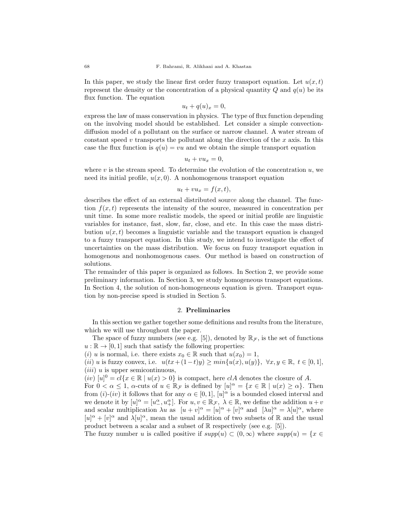In this paper, we study the linear first order fuzzy transport equation. Let  $u(x, t)$ represent the density or the concentration of a physical quantity  $Q$  and  $q(u)$  be its flux function. The equation

$$
u_t + q(u)_x = 0,
$$

express the law of mass conservation in physics. The type of flux function depending on the involving model should be established. Let consider a simple convectiondiffusion model of a pollutant on the surface or narrow channel. A water stream of constant speed  $v$  transports the pollutant along the direction of the  $x$  axis. In this case the flux function is  $q(u) = vu$  and we obtain the simple transport equation

$$
u_t + vu_x = 0,
$$

where v is the stream speed. To determine the evolution of the concentration  $u$ , we need its initial profile,  $u(x, 0)$ . A nonhomogenous transport equation

$$
u_t + v u_x = f(x, t),
$$

describes the effect of an external distributed source along the channel. The function  $f(x, t)$  represents the intensity of the source, measured in concentration per unit time. In some more realistic models, the speed or initial profile are linguistic variables for instance, fast, slow, far, close, and etc. In this case the mass distribution  $u(x, t)$  becomes a linguistic variable and the transport equation is changed to a fuzzy transport equation. In this study, we intend to investigate the effect of uncertainties on the mass distribution. We focus on fuzzy transport equation in homogenous and nonhomogenous cases. Our method is based on construction of solutions.

The remainder of this paper is organized as follows. In Section 2, we provide some preliminary information. In Section 3, we study homogeneous transport equations. In Section 4, the solution of non-homogeneous equation is given. Transport equation by non-precise speed is studied in Section 5.

#### 2. Preliminaries

In this section we gather together some definitions and results from the literature, which we will use throughout the paper.

The space of fuzzy numbers (see e.g. [5]), denoted by  $\mathbb{R}_{\mathcal{F}}$ , is the set of functions  $u : \mathbb{R} \to [0, 1]$  such that satisfy the following properties:

(i) u is normal, i.e. there exists  $x_0 \in \mathbb{R}$  such that  $u(x_0) = 1$ ,

(ii) u is fuzzy convex, i.e.  $u(tx+(1-t)y) \ge min\{u(x), u(y)\}, \forall x, y \in \mathbb{R}, t \in [0,1],$  $(iii)$  u is upper semicontinuous,

 $(iv)$   $[u]$ <sup>0</sup> =  $cl\{x \in \mathbb{R} \mid u(x) > 0\}$  is compact, here  $clA$  denotes the closure of A.

For  $0 < \alpha \leq 1$ ,  $\alpha$ -cuts of  $u \in \mathbb{R}_{\mathcal{F}}$  is defined by  $[u]^{\alpha} = \{x \in \mathbb{R} \mid u(x) \geq \alpha\}$ . Then from  $(i)-(iv)$  it follows that for any  $\alpha \in [0,1]$ ,  $[u]^\alpha$  is a bounded closed interval and we denote it by  $[u]^\alpha = [u^\alpha_-, u^\alpha_+]$ . For  $u, v \in \mathbb{R}_{\mathcal{F}}, \lambda \in \mathbb{R}$ , we define the addition  $u+v$ and scalar multiplication  $\lambda u$  as  $[u + v]^{\alpha} = [u]^{\alpha} + [v]^{\alpha}$  and  $[\lambda u]^{\alpha} = \lambda [u]^{\alpha}$ , where  $[u]^\alpha + [v]^\alpha$  and  $\lambda[u]^\alpha$ , mean the usual addition of two subsets of R and the usual product between a scalar and a subset of  $\mathbb R$  respectively (see e.g. [5]).

The fuzzy number u is called positive if  $supp(u) \subset (0,\infty)$  where  $supp(u) = \{x \in$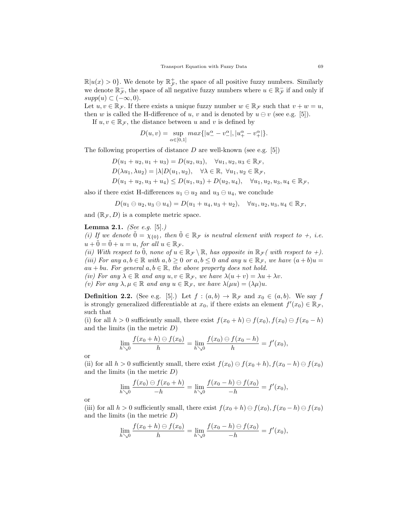$\mathbb{R}|u(x) > 0$ . We denote by  $\mathbb{R}_{\mathcal{F}}^+$ , the space of all positive fuzzy numbers. Similarly we denote  $\mathbb{R}^-_{\mathcal{F}}$ , the space of all negative fuzzy numbers where  $u \in \mathbb{R}^-_{\mathcal{F}}$  if and only if  $supp(u) \subset (-\infty, 0).$ 

Let  $u, v \in \mathbb{R}_{\mathcal{F}}$ . If there exists a unique fuzzy number  $w \in \mathbb{R}_{\mathcal{F}}$  such that  $v + w = u$ , then w is called the H-difference of u, v and is denoted by  $u \ominus v$  (see e.g. [5]).

If  $u, v \in \mathbb{R}_{\mathcal{F}}$ , the distance between u and v is defined by

$$
D(u, v) = \sup_{\alpha \in [0, 1]} max\{|u^{\alpha} - v^{\alpha} \rangle, |u^{\alpha} - v^{\alpha} \rangle\}.
$$

The following properties of distance  $D$  are well-known (see e.g. [5])

 $D(u_1 + u_2, u_1 + u_3) = D(u_2, u_3), \quad \forall u_1, u_2, u_3 \in \mathbb{R}_{\mathcal{F}},$  $D(\lambda u_1, \lambda u_2) = |\lambda| D(u_1, u_2), \quad \forall \lambda \in \mathbb{R}, \ \forall u_1, u_2 \in \mathbb{R}_{\mathcal{F}},$  $D(u_1 + u_2, u_3 + u_4) \le D(u_1, u_3) + D(u_2, u_4), \quad \forall u_1, u_2, u_3, u_4 \in \mathbb{R}_{\mathcal{F}},$ 

also if there exist H-differences  $u_1 \ominus u_2$  and  $u_3 \ominus u_4$ , we conclude

$$
D(u_1 \ominus u_2, u_3 \ominus u_4) = D(u_1 + u_4, u_3 + u_2), \quad \forall u_1, u_2, u_3, u_4 \in \mathbb{R}_{\mathcal{F}},
$$

and  $(\mathbb{R}_\mathcal{F}, D)$  is a complete metric space.

## **Lemma 2.1.** *(See e.g.* [5].*)*

(i) If we denote  $\tilde{0} = \chi_{\{0\}}$ , then  $\tilde{0} \in \mathbb{R}_{\mathcal{F}}$  is neutral element with respect to  $+$ , i.e.  $u + 0 = 0 + u = u$ , for all  $u \in \mathbb{R}_{\mathcal{F}}$ .

(ii) With respect to  $\tilde{0}$ , none of  $u \in \mathbb{R}_{\mathcal{F}} \setminus \mathbb{R}$ , has opposite in  $\mathbb{R}_{\mathcal{F}}($  with respect to +). (iii) For any  $a, b \in \mathbb{R}$  with  $a, b \ge 0$  or  $a, b \le 0$  and any  $u \in \mathbb{R}_{\mathcal{F}}$ , we have  $(a + b)u =$  $au + bu$ . For general  $a, b \in \mathbb{R}$ , the above property does not hold.

(iv) For any  $\lambda \in \mathbb{R}$  and any  $u, v \in \mathbb{R}_{\mathcal{F}}$ , we have  $\lambda(u+v) = \lambda u + \lambda v$ .

(v) For any  $\lambda, \mu \in \mathbb{R}$  and any  $u \in \mathbb{R}_{\mathcal{F}}$ , we have  $\lambda(\mu u) = (\lambda \mu)u$ .

**Definition 2.2.** (See e.g. [5].) Let  $f : (a, b) \to \mathbb{R}_{\mathcal{F}}$  and  $x_0 \in (a, b)$ . We say f is strongly generalized differentiable at  $x_0$ , if there exists an element  $f'(x_0) \in \mathbb{R}_{\mathcal{F}}$ , such that

(i) for all  $h > 0$  sufficiently small, there exist  $f(x_0 + h) \ominus f(x_0)$ ,  $f(x_0) \ominus f(x_0 - h)$ and the limits (in the metric  $D$ )

$$
\lim_{h\searrow 0}\frac{f(x_0+h)\ominus f(x_0)}{h}=\lim_{h\searrow 0}\frac{f(x_0)\ominus f(x_0-h)}{h}=f'(x_0),
$$

or

(ii) for all  $h > 0$  sufficiently small, there exist  $f(x_0) \ominus f(x_0 + h)$ ,  $f(x_0 - h) \ominus f(x_0)$ and the limits (in the metric  $D$ )

$$
\lim_{h \searrow 0} \frac{f(x_0) \ominus f(x_0 + h)}{-h} = \lim_{h \searrow 0} \frac{f(x_0 - h) \ominus f(x_0)}{-h} = f'(x_0),
$$

or

(iii) for all  $h > 0$  sufficiently small, there exist  $f(x_0 + h) \ominus f(x_0)$ ,  $f(x_0 - h) \ominus f(x_0)$ and the limits (in the metric  $D$ )

$$
\lim_{h \searrow 0} \frac{f(x_0 + h) \ominus f(x_0)}{h} = \lim_{h \searrow 0} \frac{f(x_0 - h) \ominus f(x_0)}{-h} = f'(x_0),
$$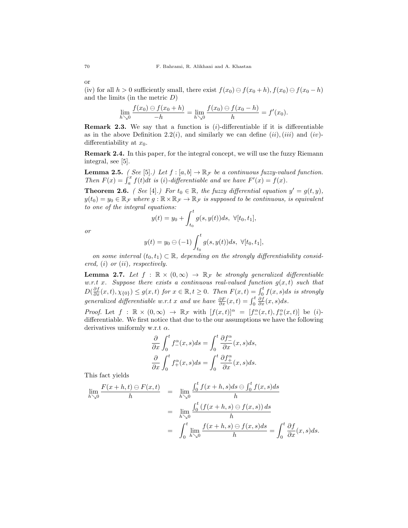(iv) for all  $h > 0$  sufficiently small, there exist  $f(x_0) \ominus f(x_0 + h)$ ,  $f(x_0) \ominus f(x_0 - h)$ and the limits (in the metric  $D$ )

$$
\lim_{h \searrow 0} \frac{f(x_0) \ominus f(x_0 + h)}{-h} = \lim_{h \searrow 0} \frac{f(x_0) \ominus f(x_0 - h)}{h} = f'(x_0).
$$

**Remark 2.3.** We say that a function is  $(i)$ -differentiable if it is differentiable as in the above Definition 2.2(i), and similarly we can define  $(ii)$ ,  $(iii)$  and  $(iv)$ differentiability at  $x_0$ .

Remark 2.4. In this paper, for the integral concept, we will use the fuzzy Riemann integral, see [5].

**Lemma 2.5.** ( See [5].) Let  $f : [a, b] \to \mathbb{R}_{\mathcal{F}}$  be a continuous fuzzy-valued function. Then  $F(x) = \int_a^x f(t)dt$  is (i)-differentiable and we have  $F'(x) = f(x)$ .

**Theorem 2.6.** ( See [4].) For  $t_0 \in \mathbb{R}$ , the fuzzy differential equation  $y' = g(t, y)$ ,  $y(t_0) = y_0 \in \mathbb{R}_{\mathcal{F}}$  where  $g: \mathbb{R} \times \mathbb{R}_{\mathcal{F}} \to \mathbb{R}_{\mathcal{F}}$  is supposed to be continuous, is equivalent to one of the integral equations:

$$
y(t) = y_0 + \int_{t_0}^t g(s, y(t))ds, \ \forall [t_0, t_1],
$$

or

$$
y(t) = y_0 \ominus (-1) \int_{t_0}^t g(s, y(t)) ds, \ \forall [t_0, t_1],
$$

on some interval  $(t_0, t_1) \subset \mathbb{R}$ , depending on the strongly differentiability considered,  $(i)$  or  $(ii)$ , respectively.

**Lemma 2.7.** Let  $f : \mathbb{R} \times (0, \infty) \rightarrow \mathbb{R}_{\mathcal{F}}$  be strongly generalized differentiable w.r.t x. Suppose there exists a continuous real-valued function  $g(x,t)$  such that  $D(\frac{\partial f}{\partial x}(x,t), \chi_{\{0\}}) \leq g(x,t)$  for  $x \in \mathbb{R}, t \geq 0$ . Then  $F(x,t) = \int_0^t f(x,s)ds$  is strongly generalized differentiable w.r.t x and we have  $\frac{\partial F}{\partial x}(x,t) = \int_0^t \frac{\partial f}{\partial x}(x,s)ds$ .

*Proof.* Let  $f : \mathbb{R} \times (0, \infty) \to \mathbb{R}_{\mathcal{F}}$  with  $[f(x,t)]^{\alpha} = [f^{\alpha}(x,t), f^{\alpha}(x,t)]$  be (*i*)differentiable. We first notice that due to the our assumptions we have the following derivatives uniformly w.r.t  $\alpha$ .

$$
\frac{\partial}{\partial x} \int_0^t f_-^{\alpha}(x, s) ds = \int_0^t \frac{\partial f_-^{\alpha}}{\partial x}(x, s) ds, \n\frac{\partial}{\partial x} \int_0^t f_+^{\alpha}(x, s) ds = \int_0^t \frac{\partial f_+^{\alpha}}{\partial x}(x, s) ds.
$$

This fact yields

$$
\lim_{h \searrow 0} \frac{F(x+h,t) \ominus F(x,t)}{h} = \lim_{h \searrow 0} \frac{\int_0^t f(x+h,s)ds \ominus \int_0^t f(x,s)ds}{h}
$$

$$
= \lim_{h \searrow 0} \frac{\int_0^t (f(x+h,s) \ominus f(x,s))ds}{h}
$$

$$
= \int_0^t \lim_{h \searrow 0} \frac{f(x+h,s) \ominus f(x,s)ds}{h} = \int_0^t \frac{\partial f}{\partial x}(x,s)ds.
$$

or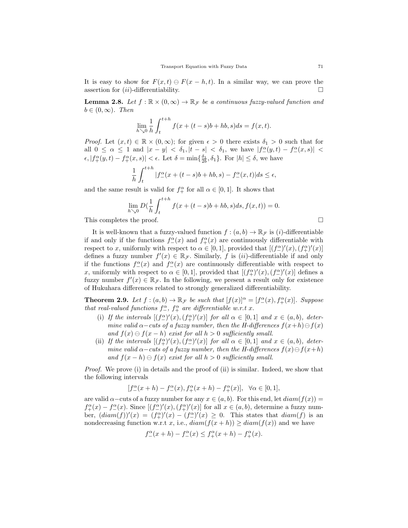It is easy to show for  $F(x, t) \ominus F(x - h, t)$ . In a similar way, we can prove the assertion for  $(ii)$ -differentiability.

**Lemma 2.8.** Let  $f : \mathbb{R} \times (0, \infty) \to \mathbb{R}_{\mathcal{F}}$  be a continuous fuzzy-valued function and  $b \in (0,\infty)$ . Then

$$
\lim_{h \searrow 0} \frac{1}{h} \int_{t}^{t+h} f(x + (t - s)b + hb, s) ds = f(x, t).
$$

*Proof.* Let  $(x, t) \in \mathbb{R} \times (0, \infty)$ ; for given  $\epsilon > 0$  there exists  $\delta_1 > 0$  such that for all  $0 \leq \alpha \leq 1$  and  $|x - y| < \delta_1, |t - s| < \delta_1$ , we have  $|f_-(y,t) - f_-(x,s)| <$  $\epsilon, |f_+^{\alpha}(y,t) - f_+^{\alpha}(x,s)| < \epsilon$ . Let  $\delta = \min\{\frac{\delta_1}{2b}, \delta_1\}$ . For  $|h| \leq \delta$ , we have

$$
\frac{1}{h} \int_{t}^{t+h} |f_{-}^{\alpha}(x+(t-s)b+hb,s) - f_{-}^{\alpha}(x,t)|ds \le \epsilon,
$$

and the same result is valid for  $f_+^{\alpha}$  for all  $\alpha \in [0, 1]$ . It shows that

$$
\lim_{h \searrow 0} D(\frac{1}{h} \int_{t}^{t+h} f(x + (t-s)b + hb, s)ds, f(x, t)) = 0.
$$

This completes the proof.

It is well-known that a fuzzy-valued function  $f:(a, b) \to \mathbb{R}_{\mathcal{F}}$  is (*i*)-differentiable if and only if the functions  $f_{-}^{\alpha}(x)$  and  $f_{+}^{\alpha}(x)$  are continuously differentiable with respect to x, uniformly with respect to  $\alpha \in [0,1]$ , provided that  $[(f_-^{\alpha})'(x), (f_+^{\alpha})'(x)]$ defines a fuzzy number  $f'(x) \in \mathbb{R}_{\mathcal{F}}$ . Similarly, f is (*ii*)-differentiable if and only if the functions  $f_{-}^{\alpha}(x)$  and  $f_{-}^{\alpha}(x)$  are continuously differentiable with respect to x, uniformly with respect to  $\alpha \in [0,1]$ , provided that  $[(f_+^{\alpha})'(x), (f_-^{\alpha})'(x)]$  defines a fuzzy number  $f'(x) \in \mathbb{R}_{\mathcal{F}}$ . In the following, we present a result only for existence of Hukuhara differences related to strongly generalized differentiability.

**Theorem 2.9.** Let  $f:(a,b)\to \mathbb{R}_{\mathcal{F}}$  be such that  $[f(x)]^{\alpha}=[f^{\alpha}(x), f^{\alpha}(x)].$  Suppose that real-valued functions  $f_{-}^{\alpha}$ ,  $f_{+}^{\alpha}$  are differentiable w.r.t x.

- (i) If the intervals  $[(f_-^{\alpha})'(x), (f_+^{\alpha})'(x)]$  for all  $\alpha \in [0,1]$  and  $x \in (a,b)$ , determine valid  $\alpha$ -cuts of a fuzzy number, then the H-differences  $f(x+h) \ominus f(x)$ and  $f(x) \ominus f(x-h)$  exist for all  $h > 0$  sufficiently small.
- (ii) If the intervals  $[(f_+^{\alpha})'(x), (f_-^{\alpha})'(x)]$  for all  $\alpha \in [0,1]$  and  $x \in (a,b)$ , determine valid  $\alpha$ -cuts of a fuzzy number, then the H-differences  $f(x) \ominus f(x+h)$ and  $f(x-h) \ominus f(x)$  exist for all  $h > 0$  sufficiently small.

Proof. We prove (i) in details and the proof of (ii) is similar. Indeed, we show that the following intervals

$$
[f_-^{\alpha}(x+h) - f_-^{\alpha}(x), f_+^{\alpha}(x+h) - f_+^{\alpha}(x)], \ \ \forall \alpha \in [0,1],
$$

are valid  $\alpha$ –cuts of a fuzzy number for any  $x \in (a, b)$ . For this end, let  $diam(f(x)) =$  $f_+^{\alpha}(x) - f_-^{\alpha}(x)$ . Since  $[(f_-^{\alpha})'(x), (f_+^{\alpha})'(x)]$  for all  $x \in (a, b)$ , determine a fuzzy number,  $(diam(f))'(x) = (f_+^{\alpha})'(x) - (f_-^{\alpha})'(x) \ge 0$ . This states that  $diam(f)$  is an nondecreasing function w.r.t x, i.e.,  $diam(f(x+h)) \geq diam(f(x))$  and we have

$$
f_{-}^{\alpha}(x+h) - f_{-}^{\alpha}(x) \le f_{+}^{\alpha}(x+h) - f_{+}^{\alpha}(x).
$$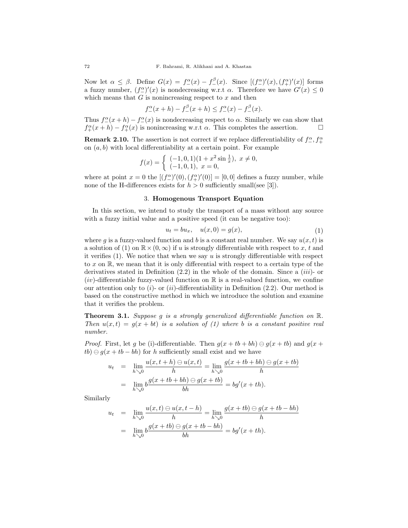Now let  $\alpha \leq \beta$ . Define  $G(x) = f^{\alpha}(x) - f^{\beta}(x)$ . Since  $[(f^{\alpha}_{-})'(x), (f^{\alpha}_{+})'(x)]$  forms a fuzzy number,  $(f_{-}^{\alpha})'(x)$  is nondecreasing w.r.t  $\alpha$ . Therefore we have  $G'(x) \leq 0$ which means that  $G$  is nonincreasing respect to  $x$  and then

$$
f_{-}^{\alpha}(x+h) - f_{-}^{\beta}(x+h) \le f_{-}^{\alpha}(x) - f_{-}^{\beta}(x).
$$

Thus  $f_{-}^{\alpha}(x+h) - f_{-}^{\alpha}(x)$  is nondecreasing respect to  $\alpha$ . Similarly we can show that  $f_+^{\alpha}(x+h) - f_+^{\alpha}(x)$  is nonincreasing w.r.t  $\alpha$ . This completes the assertion.  $\square$ 

**Remark 2.10.** The assertion is not correct if we replace differentiability of  $f^{\alpha}_{-}, f^{\alpha}_{+}$ on  $(a, b)$  with local differentiability at a certain point. For example

$$
f(x) = \begin{cases} (-1,0,1)(1+x^2\sin\frac{1}{x}), & x \neq 0, \\ (-1,0,1), & x = 0, \end{cases}
$$

where at point  $x = 0$  the  $[(f_-^{\alpha})'(0), (f_+^{\alpha})'(0)] = [0,0]$  defines a fuzzy number, while none of the H-differences exists for  $h > 0$  sufficiently small(see [3]).

### 3. Homogenous Transport Equation

In this section, we intend to study the transport of a mass without any source with a fuzzy initial value and a positive speed (it can be negative too):

$$
u_t = bu_x, \quad u(x,0) = g(x), \tag{1}
$$

where g is a fuzzy-valued function and b is a constant real number. We say  $u(x, t)$  is a solution of (1) on  $\mathbb{R}\times(0,\infty)$  if u is strongly differentiable with respect to x, t and it verifies  $(1)$ . We notice that when we say u is strongly differentiable with respect to  $x$  on  $\mathbb{R}$ , we mean that it is only differential with respect to a certain type of the derivatives stated in Definition  $(2.2)$  in the whole of the domain. Since a *(iii)*- or  $(iv)$ -differentiable fuzzy-valued function on  $\mathbb R$  is a real-valued function, we confine our attention only to  $(i)$ - or  $(ii)$ -differentiability in Definition (2.2). Our method is based on the constructive method in which we introduce the solution and examine that it verifies the problem.

**Theorem 3.1.** Suppose g is a strongly generalized differentiable function on  $\mathbb{R}$ . Then  $u(x,t) = g(x + bt)$  is a solution of (1) where b is a constant positive real number.

*Proof.* First, let g be (i)-differentiable. Then  $g(x + tb + bh) \ominus g(x + tb)$  and  $g(x + b)$  $tb) \ominus g(x + tb - bh)$  for h sufficiently small exist and we have

$$
u_t = \lim_{h \searrow 0} \frac{u(x, t + h) \ominus u(x, t)}{h} = \lim_{h \searrow 0} \frac{g(x + tb + bh) \ominus g(x + tb)}{h}
$$
  
= 
$$
\lim_{h \searrow 0} b \frac{g(x + tb + bh) \ominus g(x + tb)}{bh} = bg'(x + th).
$$

Similarly

$$
u_t = \lim_{h \searrow 0} \frac{u(x, t) \ominus u(x, t - h)}{h} = \lim_{h \searrow 0} \frac{g(x + tb) \ominus g(x + tb - bh)}{h}
$$
  
= 
$$
\lim_{h \searrow 0} b \frac{g(x + tb) \ominus g(x + tb - bh)}{bh} = bg'(x + th).
$$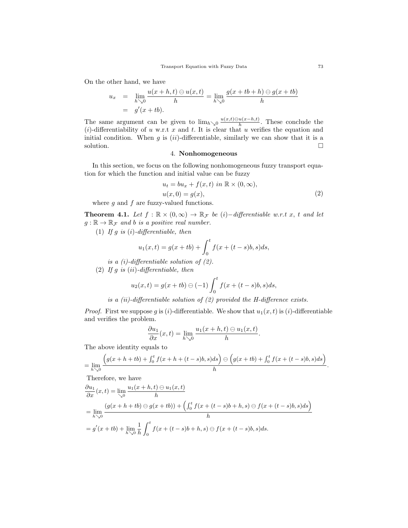On the other hand, we have

$$
u_x = \lim_{h \searrow 0} \frac{u(x+h,t) \ominus u(x,t)}{h} = \lim_{h \searrow 0} \frac{g(x+tb+h) \ominus g(x+tb)}{h}
$$
  
=  $g'(x+tb)$ .

The same argument can be given to  $\lim_{h\searrow 0} \frac{u(x,t)\ominus u(x-h,t)}{h}$  $\frac{u(x-h,t)}{h}$ . These conclude the (i)-differentiability of u w.r.t x and t. It is clear that u verifies the equation and initial condition. When  $g$  is  $(ii)$ -differentiable, similarly we can show that it is a solution.  $\Box$ 

# 4. Nonhomogeneous

In this section, we focus on the following nonhomogeneous fuzzy transport equation for which the function and initial value can be fuzzy

$$
u_t = bu_x + f(x, t) \text{ in } \mathbb{R} \times (0, \infty),
$$
  

$$
u(x, 0) = g(x),
$$
 (2)

where  $g$  and  $f$  are fuzzy-valued functions.

**Theorem 4.1.** Let  $f : \mathbb{R} \times (0, \infty) \to \mathbb{R}_{\mathcal{F}}$  be  $(i)$ -differentiable w.r.t x, t and let  $g: \mathbb{R} \to \mathbb{R}_{\mathcal{F}}$  and b is a positive real number.

(1) If g is  $(i)$ -differentiable, then

$$
u_1(x,t) = g(x+tb) + \int_0^t f(x+(t-s)b, s)ds,
$$

is a  $(i)$ -differentiable solution of  $(2)$ .

(2) If  $g$  is  $(ii)$ -differentiable, then

$$
u_2(x,t) = g(x+tb) \ominus (-1) \int_0^t f(x+(t-s)b, s)ds,
$$

is a (ii)-differentiable solution of  $(2)$  provided the H-difference exists.

*Proof.* First we suppose g is (i)-differentiable. We show that  $u_1(x, t)$  is (i)-differentiable and verifies the problem.

$$
\frac{\partial u_1}{\partial x}(x,t) = \lim_{h \searrow 0} \frac{u_1(x+h,t) \ominus u_1(x,t)}{h}.
$$

The above identity equals to

$$
= \lim_{h \searrow 0} \frac{\left(g(x+h+tb) + \int_0^t f(x+h+(t-s)b,s)ds\right) \ominus \left(g(x+tb) + \int_0^t f(x+(t-s)b,s)ds\right)}{h}.
$$

Therefore, we have

$$
\frac{\partial u_1}{\partial x}(x,t) = \lim_{\substack{\searrow 0}} \frac{u_1(x+h,t) \ominus u_1(x,t)}{h}
$$
  
= 
$$
\lim_{h \searrow 0} \frac{(g(x+h+tb) \ominus g(x+tb)) + (\int_0^t f(x+(t-s)b+h,s) \ominus f(x+(t-s)b,s)ds)}{h}
$$
  
= 
$$
g'(x+tb) + \lim_{h \searrow 0} \frac{1}{h} \int_0^t f(x+(t-s)b+h,s) \ominus f(x+(t-s)b,s)ds.
$$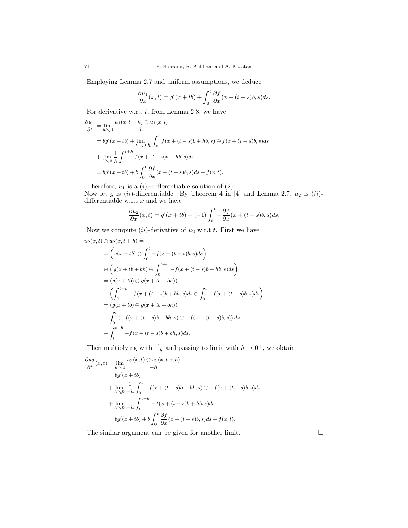Employing Lemma 2.7 and uniform assumptions, we deduce

$$
\frac{\partial u_1}{\partial x}(x,t) = g'(x+tb) + \int_0^t \frac{\partial f}{\partial x}(x+(t-s)b,s)ds.
$$

For derivative w.r.t  $t$ , from Lemma 2.8, we have

$$
\frac{\partial u_1}{\partial t} = \lim_{h \to 0} \frac{u_1(x, t+h) \ominus u_1(x, t)}{h}
$$
  
=  $bg'(x+tb) + \lim_{h \to 0} \frac{1}{h} \int_0^t f(x+(t-s)b+hb, s) \ominus f(x+(t-s)b, s) ds$   
+  $\lim_{h \to 0} \frac{1}{h} \int_t^{t+h} f(x+(t-s)b+hb, s) ds$   
=  $bg'(x+tb) + b \int_0^t \frac{\partial f}{\partial x}(x+(t-s)b, s) ds + f(x, t).$ 

Therefore,  $u_1$  is a  $(i)$ −differentiable solution of  $(2)$ . Now let g is  $(ii)$ -differentiable. By Theorem 4 in [4] and Lemma 2.7,  $u_2$  is  $(ii)$ differentiable w.r.t  $x$  and we have

$$
\frac{\partial u_2}{\partial x}(x,t) = g'(x+tb) + (-1) \int_0^t -\frac{\partial f}{\partial x}(x+(t-s)b, s)ds.
$$

Now we compute  $(ii)$ -derivative of  $u_2$  w.r.t t. First we have

$$
u_2(x,t) \ominus u_2(x,t+h) =
$$
  
=  $\left( g(x+tb) \ominus \int_0^t -f(x+(t-s)b, s)ds \right)$   
 $\ominus \left( g(x+tb+bh) \ominus \int_0^{t+h} -f(x+(t-s)b+hb, s)ds \right)$   
=  $(g(x+tb) \ominus g(x+tb+bh))$   
+  $\left( \int_0^{t+h} -f(x+(t-s)b+bh, s)ds \ominus \int_0^t -f(x+(t-s)b, s)ds \right)$   
=  $(g(x+tb) \ominus g(x+tb+bh))$   
+  $\int_0^t (-f(x+(t-s)b+bh, s) \ominus -f(x+(t-s)b, s)) ds$   
+  $\int_t^{t+h} -f(x+(t-s)b+bh, s)ds.$ 

Then multiplying with  $\frac{1}{-h}$  and passing to limit with  $h \to 0^+$ , we obtain

$$
\frac{\partial u_2}{\partial t}(x,t) = \lim_{h \searrow 0} \frac{u_2(x,t) \ominus u_2(x,t+h)}{-h}
$$
  
\n
$$
= bg'(x+tb)
$$
  
\n
$$
+ \lim_{h \searrow 0} \frac{1}{-h} \int_0^t -f(x+(t-s)b+hb,s) \ominus -f(x+(t-s)b,s)ds
$$
  
\n
$$
+ \lim_{h \searrow 0} \frac{1}{-h} \int_t^{t+h} -f(x+(t-s)b+hb,s)ds
$$
  
\n
$$
= bg'(x+tb) + b \int_0^t \frac{\partial f}{\partial x}(x+(t-s)b,s)ds + f(x,t).
$$

The similar argument can be given for another limit.  $\square$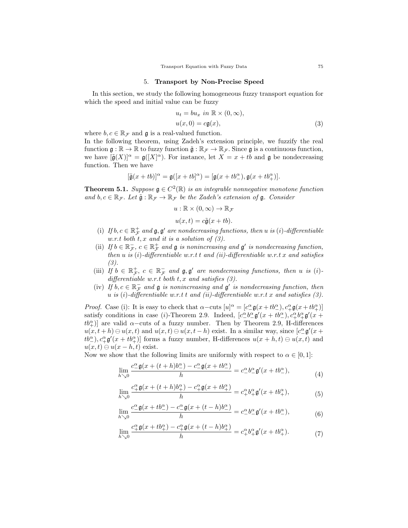### 5. Transport by Non-Precise Speed

In this section, we study the following homogeneous fuzzy transport equation for which the speed and initial value can be fuzzy

$$
u_t = bu_x \text{ in } \mathbb{R} \times (0, \infty),
$$
  

$$
u(x, 0) = c\mathfrak{g}(x),
$$
 (3)

where  $b, c \in \mathbb{R}_{\mathcal{F}}$  and  $\mathfrak{g}$  is a real-valued function.

In the following theorem, using Zadeh's extension principle, we fuzzify the real function  $\mathfrak{g} : \mathbb{R} \to \mathbb{R}$  to fuzzy function  $\tilde{\mathfrak{g}} : \mathbb{R}_{\mathcal{F}} \to \mathbb{R}_{\mathcal{F}}$ . Since  $\mathfrak{g}$  is a continuous function, we have  $[\tilde{\mathfrak{g}}(X)]^{\alpha} = \mathfrak{g}([X]^{\alpha})$ . For instance, let  $X = x + tb$  and  $\mathfrak{g}$  be nondecreasing function. Then we have

$$
[\tilde{\mathfrak{g}}(x+tb)]^{\alpha} = \mathfrak{g}([x+tb]^{\alpha}) = [\mathfrak{g}(x+tb^{\alpha}), \mathfrak{g}(x+tb^{\alpha})].
$$

**Theorem 5.1.** Suppose  $\mathfrak{g} \in C^2(\mathbb{R})$  is an integrable nonnegative monotone function and  $b, c \in \mathbb{R}_{\mathcal{F}}$ . Let  $\tilde{\mathfrak{g}} : \mathbb{R}_{\mathcal{F}} \to \mathbb{R}_{\mathcal{F}}$  be the Zadeh's extension of  $\mathfrak{g}$ . Consider

$$
u : \mathbb{R} \times (0, \infty) \to \mathbb{R}_{\mathcal{F}}
$$
  

$$
u(x, t) = c\tilde{\mathfrak{g}}(x + tb).
$$

- (i) If  $b, c \in \mathbb{R}^+$  and  $\mathfrak{g}, \mathfrak{g}'$  are nondecreasing functions, then u is (i)-differentiable w.r.t both  $t, x$  and it is a solution of  $(3)$ .
- (ii) If  $b \in \mathbb{R}^+$ ,  $c \in \mathbb{R}^+$  and  $\mathfrak g$  is nonincreasing and  $\mathfrak g'$  is nondecreasing function, then u is (i)-differentiable w.r.t t and (ii)-differentiable w.r.t x and satisfies (3).
- (iii) If  $b \in \mathbb{R}^+_F$ ,  $c \in \mathbb{R}^-_F$  and  $\mathfrak{g}, \mathfrak{g}'$  are nondecreasing functions, then u is (i)differentiable w.r.t both  $t, x$  and satisfies (3).
- (iv) If  $b, c \in \mathbb{R}^-$  and  $\mathfrak g$  is nonincreasing and  $\mathfrak g'$  is nondecreasing function, then u is (i)-differentiable w.r.t t and (ii)-differentiable w.r.t x and satisfies  $(3)$ .

*Proof.* Case (i): It is easy to check that  $\alpha$ -cuts  $[u]^\alpha = [c^\alpha_{-\alpha} \mathfrak{g}(x+tb^\alpha_{-}), c^\alpha_{+\beta} \mathfrak{g}(x+tb^\alpha_{+})]$ satisfy conditions in case (*i*)-Theorem 2.9. Indeed,  $[c_{\perp}^{\alpha}b_{\perp}^{\alpha}\mathfrak{g}'(x+tb_{\perp}^{\alpha}), c_{\perp}^{\alpha}b_{\perp}^{\alpha}\mathfrak{g}'(x+$  $tb^{\alpha}_{+}$ ] are valid  $\alpha$ -cuts of a fuzzy number. Then by Theorem 2.9, H-differences  $u(x, t+h) \ominus u(x, t)$  and  $u(x,t) \ominus u(x, t-h)$  exist. In a similar way, since  $[c<sup>\alpha</sup>_{\mathbf{S}} g'(x+h)]$  $(tb^{\alpha}_{-}), c^{\alpha}_{+} \mathfrak{g}'(x+tb^{\alpha}_{+})$ ] forms a fuzzy number, H-differences  $u(x+h,t) \ominus u(x,t)$  and  $u(x, t) \ominus u(x - h, t)$  exist.

Now we show that the following limits are uniformly with respect to  $\alpha \in [0,1]$ :

$$
\lim_{h \searrow 0} \frac{c^{\alpha} \mathfrak{g}(x + (t + h)b^{\alpha}) - c^{\alpha} \mathfrak{g}(x + tb^{\alpha})}{h} = c^{\alpha} b^{\alpha} \mathfrak{g}'(x + tb^{\alpha}), \tag{4}
$$

$$
\lim_{h \searrow 0} \frac{c_+^\alpha \mathfrak{g}(x + (t + h)b_+^\alpha) - c_+^\alpha \mathfrak{g}(x + tb_+^\alpha)}{h} = c_+^\alpha b_+^\alpha \mathfrak{g}'(x + tb_+^\alpha),\tag{5}
$$

$$
\lim_{h \searrow 0} \frac{c^{\alpha}_{-} \mathfrak{g}(x + t b^{\alpha}_{-}) - c^{\alpha}_{-} \mathfrak{g}(x + (t - h) b^{\alpha}_{-})}{h} = c^{\alpha}_{-} b^{\alpha}_{-} \mathfrak{g}'(x + t b^{\alpha}_{-}),
$$
\n(6)

$$
\lim_{h \searrow 0} \frac{c_+^\alpha \mathfrak{g}(x + t b_+^\alpha) - c_+^\alpha \mathfrak{g}(x + (t - h) b_+^\alpha)}{h} = c_+^\alpha b_+^\alpha \mathfrak{g}'(x + t b_+^\alpha). \tag{7}
$$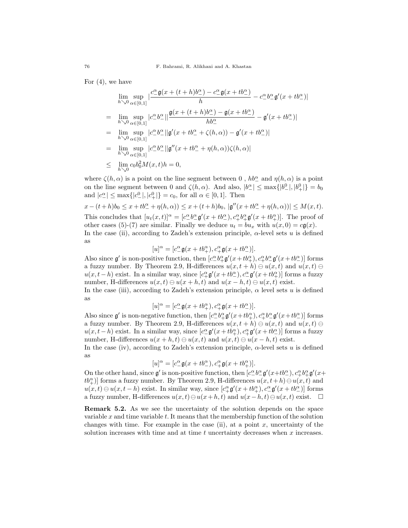For (4), we have

$$
\lim_{h \searrow 0} \sup_{\alpha \in [0,1]} \left| \frac{c^{\alpha} \mathfrak{g}(x + (t+h)b^{\alpha}) - c^{\alpha} \mathfrak{g}(x + tb^{\alpha})}{h} - c^{\alpha} b^{\alpha} \mathfrak{g}'(x + tb^{\alpha}) \right|
$$
\n
$$
= \lim_{h \searrow 0} \sup_{\alpha \in [0,1]} \left| c^{\alpha} b^{\alpha} \right| \left| \frac{\mathfrak{g}(x + (t+h)b^{\alpha}) - \mathfrak{g}(x + tb^{\alpha})}{hb^{\alpha}} - \mathfrak{g}'(x + tb^{\alpha}) \right|
$$
\n
$$
= \lim_{h \searrow 0} \sup_{\alpha \in [0,1]} \left| c^{\alpha} b^{\alpha} \right| \left| \mathfrak{g}'(x + tb^{\alpha} + \zeta(h,\alpha)) - \mathfrak{g}'(x + tb^{\alpha}) \right|
$$
\n
$$
= \lim_{h \searrow 0} \sup_{\alpha \in [0,1]} \left| c^{\alpha} b^{\alpha} \right| \left| \mathfrak{g}''(x + tb^{\alpha} + \eta(h,\alpha))\zeta(h,\alpha) \right|
$$

$$
= \lim_{h \searrow 0} \sup_{\alpha \in [0,1]} |c^{\alpha} \cdot b^{\alpha}||g''(x+tb^{\alpha} + \eta(h,\alpha))\zeta(h,\alpha)|
$$

$$
\leq \lim_{h \searrow 0} c_0 b_0^2 M(x, t) h = 0,
$$

where  $\zeta(h,\alpha)$  is a point on the line segment between 0,  $hb^{\alpha}_{-}$  and  $\eta(h,\alpha)$  is a point on the line segment between 0 and  $\zeta(h,\alpha)$ . And also,  $|b^{\alpha}_{-}| \leq \max\{|b^0_{-}|, |b^0_{+}|\} = b_0$ and  $|c^{\alpha}_{-}| \le \max\{|c^0_{-}|, |c^0_{+}|\} = c_0$ , for all  $\alpha \in [0, 1]$ . Then

$$
x - (t + h)b_0 \leq x + tb^{\alpha}_{-} + \eta(h, \alpha)) \leq x + (t + h)b_0
$$
,  $|\mathfrak{g}''(x + tb^{\alpha}_{-} + \eta(h, \alpha))| \leq M(x, t)$ . This concludes that  $[u_t(x, t)]^{\alpha} = [c^{\alpha}_{-}b^{\alpha}_{-} \mathfrak{g}'(x + tb^{\alpha}_{-}), c^{\alpha}_{+}b^{\alpha}_{+} \mathfrak{g}'(x + tb^{\alpha}_{+})]$ . The proof of other cases (5)-(7) are similar. Finally we deduce  $u_t = bu_x$  with  $u(x, 0) = c\mathfrak{g}(x)$ . In the case (ii), according to Zadeh's extension principle,  $\alpha$ -level sets u is defined as

$$
[u]^\alpha = [c^\alpha_-\mathfrak{g}(x+tb^\alpha_+), c^\alpha_+\mathfrak{g}(x+tb^\alpha_-)].
$$

Also since  $\mathfrak{g}'$  is non-positive function, then  $[c_{-}^{\alpha}b_{+}^{\alpha}\mathfrak{g}'(x+tb_{+}^{\alpha}), c_{+}^{\alpha}b_{-}^{\alpha}\mathfrak{g}'(x+tb_{-}^{\alpha})]$  forms a fuzzy number. By Theorem 2.9, H-differences  $u(x, t + h) \ominus u(x, t)$  and  $u(x, t) \ominus$  $u(x, t-h)$  exist. In a similar way, since  $[c^{\alpha}_{+} \mathfrak{g}'(x+tb^{\alpha}_{-}), c^{\alpha}_{-} \mathfrak{g}'(x+tb^{\alpha}_{+})]$  forms a fuzzy number, H-differences  $u(x, t) \ominus u(x + h, t)$  and  $u(x - h, t) \ominus u(x, t)$  exist.

In the case (iii), according to Zadeh's extension principle,  $\alpha$  level sets u is defined as

$$
[u]^\alpha=[c^\alpha_-\mathfrak{g}(x+tb^\alpha_+),c^\alpha_+\mathfrak{g}(x+tb^\alpha_-)].
$$

Also since  $\mathfrak{g}'$  is non-negative function, then  $[c_-^{\alpha} b_+^{\alpha} \mathfrak{g}'(x+tb_+^{\alpha}), c_+^{\alpha} b_-^{\alpha} \mathfrak{g}'(x+tb_-^{\alpha})]$  forms a fuzzy number. By Theorem 2.9, H-differences  $u(x, t + h) \ominus u(x, t)$  and  $u(x, t) \ominus$  $u(x, t-h)$  exist. In a similar way, since  $[c_{-}^{\alpha} \mathfrak{g}'(x+tb_{+}^{\alpha}), c_{+}^{\alpha} \mathfrak{g}'(x+tb_{-}^{\alpha})]$  forms a fuzzy number, H-differences  $u(x+h,t) \ominus u(x,t)$  and  $u(x,t) \ominus u(x-h,t)$  exist.

In the case (iv), according to Zadeh's extension principle,  $\alpha$ -level sets u is defined as

$$
[u]^\alpha=[c_-^\alpha \mathfrak{g}(x+tb_-^\alpha),c_+^\alpha \mathfrak{g}(x+tb_+^\alpha)].
$$

On the other hand, since  $\mathfrak{g}'$  is non-positive function, then  $[c_{-}^{\alpha}b_{-}^{\alpha}\mathfrak{g}'(x+tb_{-}^{\alpha}), c_{+}^{\alpha}b_{+}^{\alpha}\mathfrak{g}'(x+$  $\mathit{tb}^{\alpha}_{+}$ ] forms a fuzzy number. By Theorem 2.9, H-differences  $u(x, t+h) \ominus u(x, t)$  and  $u(x,t) \ominus u(x,t-h)$  exist. In similar way, since  $[c^{\alpha}_{+} \mathfrak{g}'(x+tb^{\alpha}_{+}), c^{\alpha}_{-} \mathfrak{g}'(x+tb^{\alpha}_{-})]$  forms a fuzzy number, H-differences  $u(x, t) \ominus u(x+h, t)$  and  $u(x-h, t) \ominus u(x, t)$  exist. □

Remark 5.2. As we see the uncertainty of the solution depends on the space variable  $x$  and time variable  $t$ . It means that the membership function of the solution changes with time. For example in the case (ii), at a point  $x$ , uncertainty of the solution increases with time and at time  $t$  uncertainty decreases when  $x$  increases.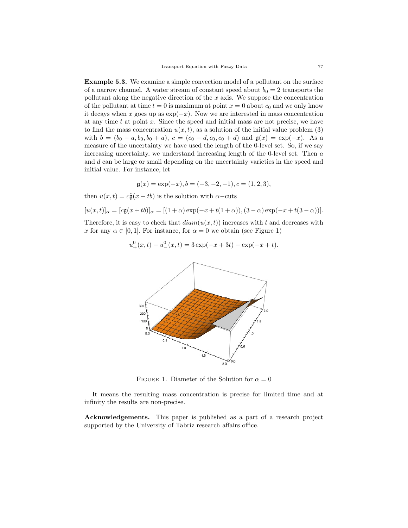Example 5.3. We examine a simple convection model of a pollutant on the surface of a narrow channel. A water stream of constant speed about  $b_0 = 2$  transports the pollutant along the negative direction of the  $x$  axis. We suppose the concentration of the pollutant at time  $t = 0$  is maximum at point  $x = 0$  about  $c_0$  and we only know it decays when x goes up as  $\exp(-x)$ . Now we are interested in mass concentration at any time  $t$  at point  $x$ . Since the speed and initial mass are not precise, we have to find the mass concentration  $u(x, t)$ , as a solution of the initial value problem (3) with  $b = (b_0 - a, b_0, b_0 + a), c = (c_0 - d, c_0, c_0 + d)$  and  $\mathfrak{g}(x) = \exp(-x)$ . As a measure of the uncertainty we have used the length of the 0-level set. So, if we say increasing uncertainty, we understand increasing length of the 0-level set. Then a and d can be large or small depending on the uncertainty varieties in the speed and initial value. For instance, let

$$
\mathfrak{g}(x) = \exp(-x), b = (-3, -2, -1), c = (1, 2, 3),
$$

then  $u(x, t) = c\tilde{\mathfrak{g}}(x + tb)$  is the solution with  $\alpha$ –cuts

$$
[u(x,t)]_{\alpha} = [c\mathfrak{g}(x+tb)]_{\alpha} = [(1+\alpha)\exp(-x+t(1+\alpha)),(3-\alpha)\exp(-x+t(3-\alpha))].
$$

Therefore, it is easy to check that  $diam(u(x, t))$  increases with t and decreases with x for any  $\alpha \in [0, 1]$ . For instance, for  $\alpha = 0$  we obtain (see Figure 1)

$$
u_{+}^{0}(x,t) - u_{-}^{0}(x,t) = 3 \exp(-x+3t) - \exp(-x+t).
$$



FIGURE 1. Diameter of the Solution for  $\alpha = 0$ 

It means the resulting mass concentration is precise for limited time and at infinity the results are non-precise.

Acknowledgements. This paper is published as a part of a research project supported by the University of Tabriz research affairs office.